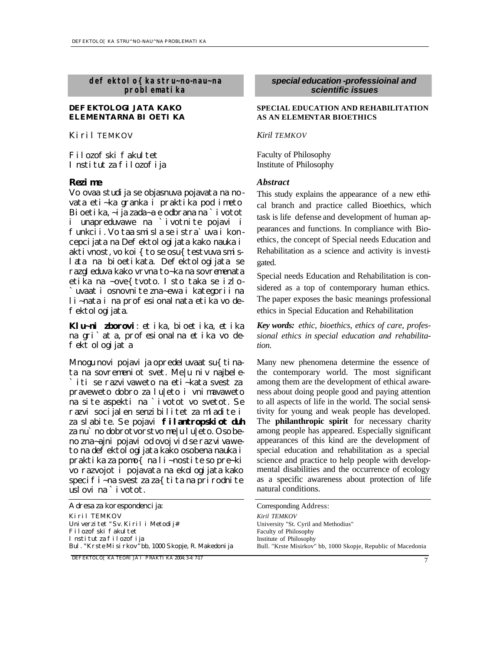*defektolo{ka stru~no-nau~na problematika*

## **DEFEKTOLOGIJATA KAKO ELEMENTARNA BIOETIKA**

*Kiril TEMKOV*

Filozofski fakultet Institut za filozofija

Vo ovaa studija se objasnuva pojavata na novata eti~ka granka i praktika pod imeto Bioetika, ~ija zada~a e odbrana na `ivotot i unapreduvawe na `ivotnite pojavi i funkcii. Vo taa smisla se istra`uva i koncepcijata na Defektologijata kako nauka i aktivnost, vo koi{to se osu{testvuva smislata na bioetikata. Defektologijata se razgleduva kako vrvna to~ka na sovremenata etika na ~ove{tvoto. Isto taka se izlo- `uvaat i osnovnite zna~ewa i kategorii na li~nata i na profesionalnata etika vo defektologijata.

*Klu~ni zborovi: etika, bioetika, etika na gri`ata, profesionalna etika vo defektologijata*

Mnogu novi pojavi ja opredeluvaat su $\{$ tinata na sovremeniot svet. Me|u niv najbele- `iti se razvivaweto na eti~kata svest za praveweto dobro za lu|eto i vnimavaweto na site aspekti na `ivotot vo svetot. Se razvi socijalen senzibilitet za mladite i za slabite. Se pojavi **filantropskiot duh** za nu`no dobrotvorstvo me|u lu|eto. Osobeno zna~ajni pojavi od ovoj vid se raz vivaweto na defektologijata kako osobena nauka i praktika za pomo{ na li~nostite so pre~ki vo razvojot i pojavata na ekologijata kako specifi~na svest za za{tita na prirodnite uslovi na `ivotot.

| Adresa za korespondenci ja:                          | Corresponding Address:      |
|------------------------------------------------------|-----------------------------|
| Kiril TEMKOV                                         | Kiril TEMKOV                |
| Univerzitet "Sv. Kiril i Metodij#                    | University "St. Cyril and M |
| Filozofski fakultet                                  | Faculty of Philosophy       |
| Institut za filozofija                               | Institute of Philosophy     |
| Bul. "Krste Misirkov" bb. 1000 Skopje, R. Makedonija | Bull. "Krste Misirkov" bb,  |

*DEFEKTOLO[KA TEORIJA I PRAKTIKA 2004; 3-4: 7-17*

## *special education -professioinal and scientific issues*

## **SPECIAL EDUCATION AND REHABILITATION AS AN ELEMENTAR BIOETHICS**

## *Kiril TEMKOV*

Faculty of Philosophy Institute of Philosophy

## *Rezime Abstract*

This study explains the appearance of a new ethical branch and practice called Bioethics, which task is life defense and development of human appearances and functions. In compliance with Bioethics, the concept of Special needs Education and Rehabilitation as a science and activity is investigated.

Special needs Education and Rehabilitation is considered as a top of contemporary human ethics. The paper exposes the basic meanings professional ethics in Special Education and Rehabilitation

*Key words: ethic, bioethics, ethics of care, professional ethics in special education and rehabilitation.* 

Many new phenomena determine the essence of the contemporary world. The most significant among them are the development of ethical awareness about doing people good and paying attention to all aspects of life in the world. The social sensitivity for young and weak people has developed. The **philanthropic spirit** for necessary charity among people has appeared. Especially significant appearances of this kind are the development of special education and rehabilitation as a special science and practice to help people with developmental disabilities and the occurrence of ecology as a specific awareness about protection of life natural conditions.

| Corresponding Address:                                        |
|---------------------------------------------------------------|
| Kiril TEMKOV                                                  |
| University "St. Cyril and Methodius"                          |
| Faculty of Philosophy                                         |
| Institute of Philosophy                                       |
| Bull. "Krste Misirkov" bb, 1000 Skopje, Republic of Macedonia |
|                                                               |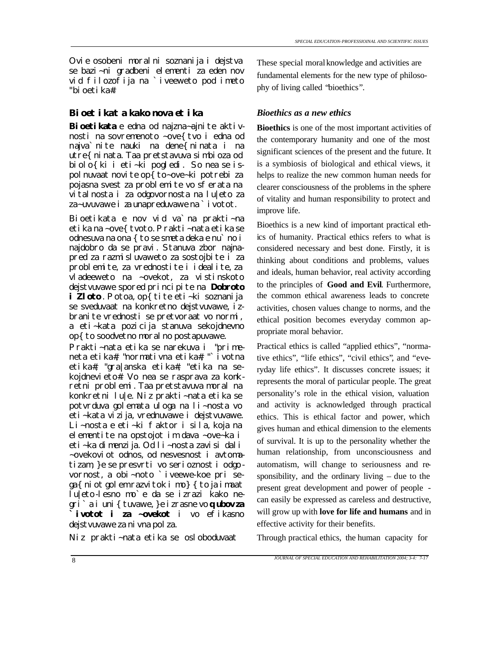Ovie osobeni moralni soznanija i dejstva se bazi~ni gradbeni elementi za eden nov vid filozofija na `iveeweto pod imeto "bioetika#.

# *Bioetikata kako nova etika Bioethics as a new ethics*

Bioetikata e edna od najzna~ajni te aktivnosti na sovremenoto ~ove{tvo i edna od najva`nite nauki na dene{ninata i na utre{ninata. Taa pretstavuva simbioza od biolo{ki i eti~ki pogledi. So nea se ispolnuvaat novite op{to~ove~ki potrebi za pojasna svest za problemite vo sferata na vitalnosta i za odgovornosta na lu|eto za za~uvuvawe i za unapreduvawe na `ivotot.

Bioetikata e nov vid va`na prakti~na etika na ~ove{tvoto. Prakti~nata etika se odnesuva na ona { to se smeta deka e nu`no i najdobro da se pravi. Stanuva zbor najnapred za razmisluvaweto za sostojbite i za problemite, za vrednostite i idealite, za vladeeweto na ~ovekot, za vistinskoto dejstvuvawe spored principite na **Dobroto i Zloto**. Potoa, op{ tite eti~ki soznanija se sveduvaat na konkretno dejstvuvawe, izbranite vrednosti se pretvoraat vo normi, a eti~kata pozicija stanuva sekojdnevno op{ to soodvetno moral no postapuvawe.

Prakti~nata etika se narekuva i "primeneta etika#, "normativna etika#, "`ivotna etika#, "gra|anska etika#, "etika na sekojdnevieto#. Vo nea se rasprava za konkretni problemi. Taa pretstavuva moral na konkretni lu|e. Niz prakti~nata etika se potvrduva golemata uloga na li~nosta vo eti~kata vizija, vrednuvawe i dejstvuvawe. Li~nosta e eti~ki faktor i sila, koja na elementite na opstojot im dava ~ove~ka i eti~ka dimenzija. Od li~nosta zavisi dali ~ovekoviot odnos, od nesvesnost i avtomatizam, }e se presvrti vo serioznost i odgovornost, a obi~noto `iveewe-koe pri se $ga\{$ niot golem razvitok i mo}  $\{$ to ja imaat lu|eto-lesno mo`e da se izrazi kako negri`a i uni{tuvawe, }e izrasne vo **qubov za `ivotot i za ~ovekot** i vo efikasno dejstvuvawe za nivna polza.

Niz prakti~nata etika se osloboduvaat

These special moral knowledge and activities are fundamental elements for the new type of philosophy of living called "bioethics"*.*

**Bioethics** is one of the most important activities of the contemporary humanity and one of the most significant sciences of the present and the future. It is a symbiosis of biological and ethical views, it helps to realize the new common human needs for clearer consciousness of the problems in the sphere of vitality and human responsibility to protect and improve life.

Bioethics is a new kind of important practical ethics of humanity. Practical ethics refers to what is considered necessary and best done. Firstly, it is thinking about conditions and problems, values and ideals, human behavior, real activity according to the principles of **Good and Evil**. Furthermore, the common ethical awareness leads to concrete activities, chosen values change to norms, and the ethical position becomes everyday common appropriate moral behavior.

Practical ethics is called "applied ethics", "normative ethics", "life ethics", "civil ethics", and "everyday life ethics". It discusses concrete issues; it represents the moral of particular people. The great personality's role in the ethical vision, valuation and activity is acknowledged through practical ethics. This is ethical factor and power, which gives human and ethical dimension to the elements of survival. It is up to the personality whether the human relationship, from unconsciousness and automatism, will change to seriousness and responsibility, and the ordinary living – due to the present great development and power of people can easily be expressed as careless and destructive, will grow up with **love for life and humans** and in effective activity for their benefits.

Through practical ethics, the human capacity for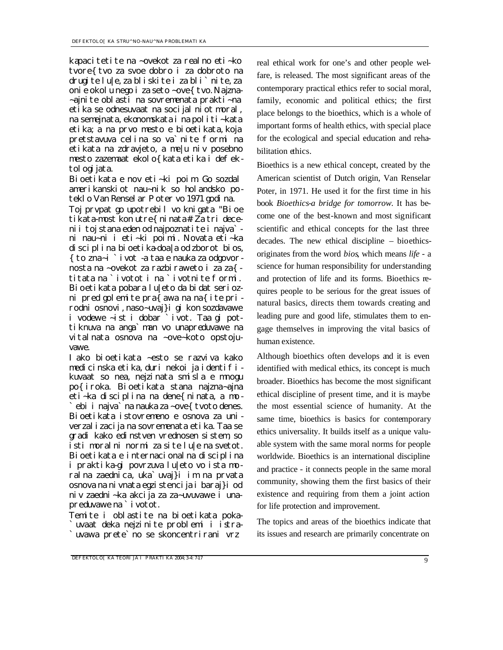kapacitetite na ~ovekot za realno eti~ko tvore{tvo za svoe dobro i za dobroto na drugite lu|e, za bliskite i za bli`nite, za onie okolu nego i za seto ~ove{tvo. Najzna-~ajnite oblasti na sovremenata prakti~na etika se odnesuvaat na socijalniot moral, na semejnata, ekonomskata i na politi~kata etika; a na prvo mesto e bioetikata, koja pretstavuva celina so va`nite formi na etikata na zdravjeto, a me|u niv posebno mesto zazemaat ekolo{ kata etika i defektol ogi jata.

Bioetikata e nov eti~ki poim. Go sozdal amerikanskiot nau~nik so holandsko poteklo Van Renselar Poter vo 1971 godina.

Toj prvpat go upotrebil vo knigata "Bioe tikata-most kon utre{ninata#. Za tri decenii toj stana eden od najpoznatite i najva` ni nau~ni i eti~ki poimi. Novata eti~ka disciplina bioetika-doa|a od zborot *bios*, {to zna~i *`ivot-*a taa e nauka za odgovornosta na ~ovekot za razbiraweto i za za{ titata na `ivotot i na `ivotnite formi. Bioetikata pobara lu|eto da bidat seriozni pred golemite pra{awa na na{ite prirodni osnovi, naso~uvaj}i gi kon sozdavawe i vodewe ~ist i dobar `ivot. Taa gi pottiknuva na anga`man vo unapreduvawe na vitalnata osnova na ~ove~koto opstojuvawe.

Iako bioetikata ~esto se razviva kako medicinska etika, duri nekoi ja identifikuvaat so nea, nejzinata smisla e mnogu po{iroka. Bioetikata stana najzna~ajna eti~ka disciplina na dene{ninata, a mo ebi i najva` na nauka za ~ove{ tvoto denes. Bioetikata istovremeno e osnova za univerzalizacija na sovremenata etika. Taa se gradi kako edinstven vrednosen sistem, so isti moralni normi za site lu|e na svetot. Bioetikata e internacionalna disciplina i praktika-gi povrzuva lu|eto vo ista moralna zaednica, uka`uvaj}i im na prvata osnova na nivnata egzistencija i baraj}i od niv zaedni~ka akcija za za~uvuvawe i unapreduvawe na `ivotot.

Temite i oblastite na bioetikata poka- `uvaat deka nejzinite problemi i istra- `uvawa prete`no se skoncentrirani vrz

real ethical work for one's and other people welfare, is released. The most significant areas of the contemporary practical ethics refer to social moral, family, economic and political ethics; the first place belongs to the bioethics, which is a whole of important forms of health ethics, with special place for the ecological and special education and rehabilitation ethics.

Bioethics is a new ethical concept, created by the American scientist of Dutch origin, Van Renselar Poter, in 1971. He used it for the first time in his book *Bioethics-a bridge for tomorrow.* It has become one of the best-known and most significant scientific and ethical concepts for the last three decades. The new ethical discipline – bioethicsoriginates from the word *bios*, which means *life -* a science for human responsibility for understanding and protection of life and its forms. Bioethics requires people to be serious for the great issues of natural basics, directs them towards creating and leading pure and good life, stimulates them to engage themselves in improving the vital basics of human existence.

Although bioethics often develops and it is even identified with medical ethics, its concept is much broader. Bioethics has become the most significant ethical discipline of present time, and it is maybe the most essential science of humanity. At the same time, bioethics is basics for contemporary ethics universality. It builds itself as a unique valuable system with the same moral norms for people worldwide. Bioethics is an international discipline and practice - it connects people in the same moral community, showing them the first basics of their existence and requiring from them a joint action for life protection and improvement.

The topics and areas of the bioethics indicate that its issues and research are primarily concentrate on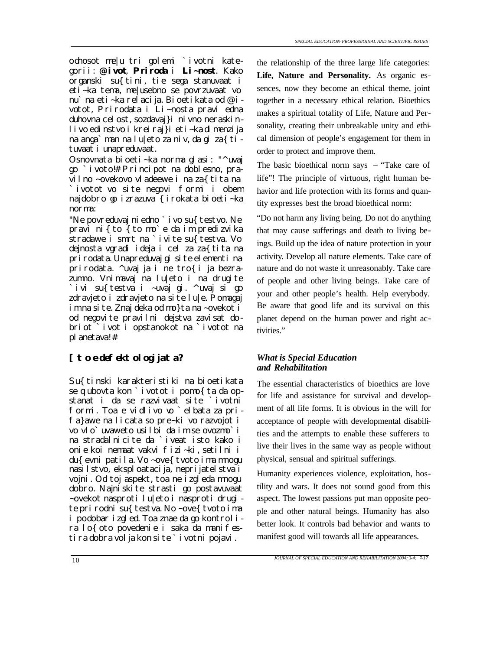odnosot me|u tri golemi `ivotni kategorii: **@ivot**, **Priroda** i **Li~nost**. Kako organski su{tini, tie sega stanuvaat i eti~ka tema, me|usebno se povrzuvaat vo nu`na eti~ka relacija. Bioetikata od @ivotot, Prirodata i Li~nosta pravi edna duhovna celost, sozdavaj}i nivno neraskinlivo edinstvo i kreiraj}i eti~ka dimenzija na anga`man na lu|eto za niv, da gi za{tituvaat i unapreduvaat.

Osnovnata bioeti~ka norma glasi: "^uvaj go `ivoto!# Principot na doblesno, pravilno ~ovekovo vladeewe i na za{tita na `ivotot vo site negovi formi i obem najdobro go izrazuva {irokata bioeti~ka norma:

"Ne povreduvaj ni edno ` i vo su{ testvo. Ne pravi ni{to {to mo`e da im predizvika stradawe i smrt na `ivite su{ testva. Vo dejnosta vgradi ideja i cel za za{tita na prirodata. Unapreduvaj gi site elementi na prirodata. ^uvaj ja i ne tro{i ja bezrazumno. Vnimavaj na lu|eto i na drugite `ivi su{testva i ~uvaj gi. ^uvaj si go zdravjeto i zdravjeto na site lu|e. Pomagaj im na site. Znaj deka od mo}ta na ~ovekot i od negovite pravilni dejstva zavisat dobriot `ivot i opstanokot na `ivotot na planetava!#

# *[to e defektologijata? What is Special Education*

Su{tinski karakteristiki na bioetikata se qubovta kon `ivotot i pomo{ ta da opstanat i da se razvivaat site `ivotni formi. Toa e vidlivo vo `elbata za prifa}awe na licata so pre~ki vo razvojot i vo vlo`uvaweto usilbi da im se ovozmo`i na stradalnicite da `iveat isto kako i onie koi nemaat vakvi fizi~ki, setilni i du{ evni patila. Vo ~ove{ tvoto ima mnogu nasilstvo, eksploatacija, neprijatelstva i vojni. Od toj aspekt, toa ne izgleda mnogu dobro. Najniskite strasti go postavuvaat ~ovekot nasproti lu|eto i nasproti drugi te prirodni su{testva. No ~ove{tvoto ima i podobar izgled. Toa znae da go kontrolira lo{oto povedenie i saka da manifestira dobra volja kon site `ivotni pojavi.

the relationship of the three large life categories: **Life, Nature and Personality.** As organic essences, now they become an ethical theme, joint together in a necessary ethical relation. Bioethics makes a spiritual totality of Life, Nature and Personality, creating their unbreakable unity and ethical dimension of people's engagement for them in order to protect and improve them.

The basic bioethical norm says – "Take care of life"! The principle of virtuous, right human behavior and life protection with its forms and quantity expresses best the broad bioethical norm:

"Do not harm any living being. Do not do anything that may cause sufferings and death to living beings. Build up the idea of nature protection in your activity. Develop all nature elements. Take care of nature and do not waste it unreasonably. Take care of people and other living beings. Take care of your and other people's health. Help everybody. Be aware that good life and its survival on this planet depend on the human power and right activities."

# *and Rehabilitation*

The essential characteristics of bioethics are love for life and assistance for survival and development of all life forms. It is obvious in the will for acceptance of people with developmental disabilities and the attempts to enable these sufferers to live their lives in the same way as people without physical, sensual and spiritual sufferings.

Humanity experiences violence, exploitation, hostility and wars. It does not sound good from this aspect. The lowest passions put man opposite people and other natural beings. Humanity has also better look. It controls bad behavior and wants to manifest good will towards all life appearances.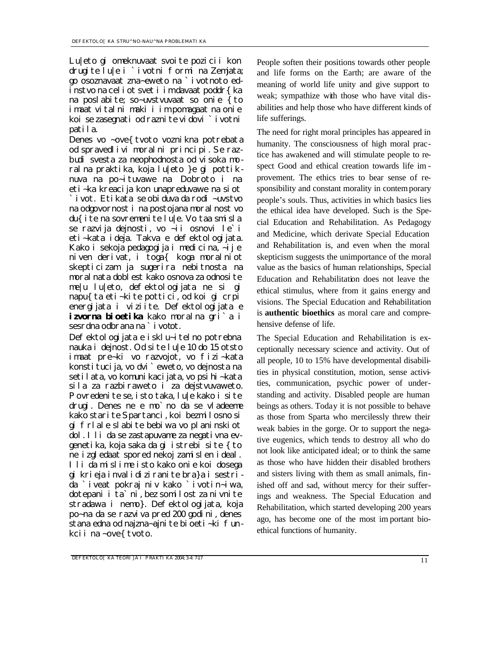Lu|eto gi omeknuvaat svoite pozicii kon drugite lu|e i `ivotni formi na Zemjata; go osoznavaat zna~eweto na `ivotnoto edinstvo na celiot svet i im davaat poddr{ka na poslabite; so~uvstvuvaat so onie {to imaat vitalni maki i im pomagaat na onie koi se zasegnati od raznite vidovi `ivotni patila.

Denes vo ~ove{ tvoto voznikna potrebata od spravedlivi moralni principi. Se razbudi svesta za neophodnosta od visoka moralna praktika, koja lu|eto }e gi pottiknuva na po~ituvawe na Dobroto i na eti~ka kreacija kon unapreduvawe na siot `ivot. Etikata se obiduva da rodi ~uvstvo na odgovornost i na postojana moralnost vo du{ite na sovremenite lu|e. Vo taa smisla se razvija dejnosti, vo ~ii osnovi le`i eti~kata ideja. Takva e defektologijata. Kako i sekoja pedagogija i medicina, ~ij e niven derivat, i toga{ koga moralniot skepticizam ja sugerira nebitnosta na moralnata doblest kako osnova za odnosite me|u lu|eto, defektologijata ne si gi napu{ta eti~kite pottici, od koi gi crpi energijata i viziite. Defektologijata e **izvorna bioetika** kako moralna gri`a i sesrdna odbrana na `i votot.

Defektologijata e isklu~itelno potrebna nauka i dejnost. Od site lu|e 10 do 15 otsto imaat pre~ki vo razvojot, vo fizi~kata konstitucija, vo dvi`eweto, vo dejnosta na setilata, vo komunikacijata, vo psihi~kata sila za razbiraweto i za dejstvuvaweto. Povredenite se, isto taka, lu|e kako i site drugi. Denes ne e mo`no da se vladeeme kako starite Spartanci, koi bezmilosno si gi frlale slabite bebiwa vo planinskiot dol. Ili da se zastapuvame za negativna evgenetika, koja saka da gi istrebi site {to ne izgledaat spored nekoj zamislen ideal. Ili da mislime isto kako onie koi dosega gi krieja invalidiziranite bra}a i sestrida `iveat pokraj niv kako `ivotin~iwa, dotepani i ta`ni, bez somilost za nivnite stradawa i nemo}. Defektologijata, koja po~na da se razviva pred 200 godini, denes stana edna od najzna~ajnite bioeti~ki funkcii na ~ove{ tvoto.

People soften their positions towards other people and life forms on the Earth; are aware of the meaning of world life unity and give support to weak; sympathize with those who have vital disabilities and help those who have different kinds of life sufferings.

The need for right moral principles has appeared in humanity. The consciousness of high moral practice has awakened and will stimulate people to respect Good and ethical creation towards life im provement. The ethics tries to bear sense of responsibility and constant morality in contemporary people's souls. Thus, activities in which basics lies the ethical idea have developed. Such is the Special Education and Rehabilitation. As Pedagogy and Medicine, which derivate Special Education and Rehabilitation is, and even when the moral skepticism suggests the unimportance of the moral value as the basics of human relationships, Special Education and Rehabilitation does not leave the ethical stimulus, where from it gains energy and visions. The Special Education and Rehabilitation is **authentic bioethics** as moral care and comprehensive defense of life.

The Special Education and Rehabilitation is exceptionally necessary science and activity. Out of all people, 10 to 15% have developmental disabilities in physical constitution, motion, sense activities, communication, psychic power of understanding and activity. Disabled people are human beings as others. Today it is not possible to behave as those from Sparta who mercilessly threw their weak babies in the gorge. Or to support the negative eugenics, which tends to destroy all who do not look like anticipated ideal; or to think the same as those who have hidden their disabled brothers and sisters living with them as small animals, finished off and sad, without mercy for their sufferings and weakness. The Special Education and Rehabilitation, which started developing 200 years ago, has become one of the most im portant bioethical functions of humanity.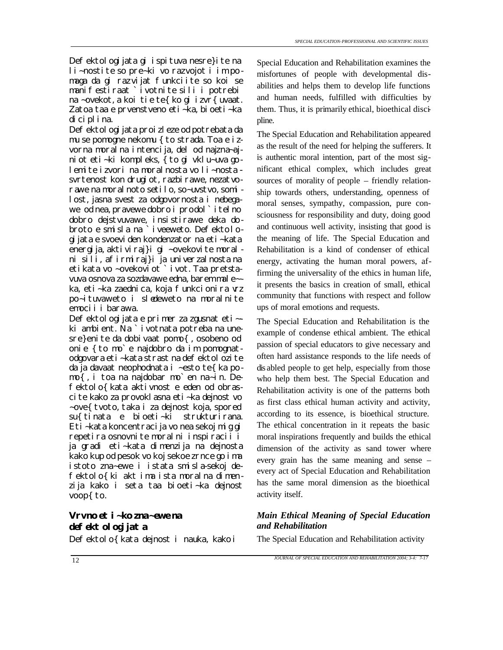Defektologijata gi ispituva nesre}ite na li~nostite so pre~ki vo razvojot i im po maga da gi raz vijat funkciite so koi se manifestiraat `ivotnite sili i potrebi na ~ovekot, a koi tie te{ko gi izvr{uvaat. Zatoa taa e prvenstveno eti~ka, bioeti~ka diciplina.

Defektol ogi jata proi zleze od potrebata da mu se pomogne nekomu { to strada. Toa e izvorna moralna intencija, del od najzna~ajniot eti~ki kompleks, { to gi vklu~uva golemite izvori na moralnosta vo li~nosta  svrtenost kon drugi ot, razbi rawe, nezatvorawe na moralnoto setilo, so~uvstvo, somilost, jasna svest za odgovornosta i nebegawe od nea, pravewe dobro i prodol`itelno dobro dejstvuvawe, insistirawe deka dobroto e smisla na `iveeweto. Defektologijata e svoeviden kondenzator na eti~kata energija, aktiviraj}i gi ~ovekovite moral ni sili, afirmiraj}i ja univerzalnosta na etikata vo ~ovekoviot `ivot. Taa pretstavuva osnova za sozdavawe edna, barem male~ ka, eti~ka zaednica, koja funkcionira vrz po~ituvaweto i sledeweto na moralnite emocii i barawa.

Defektologijata e primer za zgusnat eti~ki ambient. Na `ivotnata potreba na unesre}enite da dobivaat pomo{, osobeno od onie {to mo`e najdobro da im pomognatodgovara eti~kata strast na defektol ozite da ja davaat neophodnata i ~esto te{ka pomo{, i toa na najdobar mo`en na~in. Defektolo{kata aktivnost e eden od obrascite kako za provoklasna eti~ka dejnost vo ~ove{ tvoto, taka i za dejnost koja, spored su{ tinata e bioeti~ki strukturirana. Eti~kata koncentracija vo nea sekoj mig gi repetira osnovnite moralni inspiracii i ja gradi eti~kata dimenzija na dejnosta kako kup od pesok vo koj sekoe zrnce go ima istoto zna~ewe i istata smisla-sekoj defektolo{ki akt ima ista moralna dimenzija kako i seta taa bioeti~ka dejnost voop{ to.

# *Vrvno eti~ko zna~ewe na defektologijata*

Special Education and Rehabilitation examines the misfortunes of people with developmental disabilities and helps them to develop life functions and human needs, fulfilled with difficulties by them. Thus, it is primarily ethical, bioethical discipline.

The Special Education and Rehabilitation appeared as the result of the need for helping the sufferers. It is authentic moral intention, part of the most significant ethical complex, which includes great sources of morality of people – friendly relationship towards others, understanding, openness of moral senses, sympathy, compassion, pure consciousness for responsibility and duty, doing good and continuous well activity, insisting that good is the meaning of life. The Special Education and Rehabilitation is a kind of condenser of ethical energy, activating the human moral powers, affirming the universality of the ethics in human life, it presents the basics in creation of small, ethical community that functions with respect and follow ups of moral emotions and requests.

The Special Education and Rehabilitation is the example of condense ethical ambient. The ethical passion of special educators to give necessary and often hard assistance responds to the life needs of dis abled people to get help, especially from those who help them best. The Special Education and Rehabilitation activity is one of the patterns both as first class ethical human activity and activity, according to its essence, is bioethical structure. The ethical concentration in it repeats the basic moral inspirations frequently and builds the ethical dimension of the activity as sand tower where every grain has the same meaning and sense – every act of Special Education and Rehabilitation has the same moral dimension as the bioethical activity itself.

# *Main Ethical Meaning of Special Education and Rehabilitation*

Defektolo{ kata dejnost i nauka, kako i The Special Education and Rehabilitation activity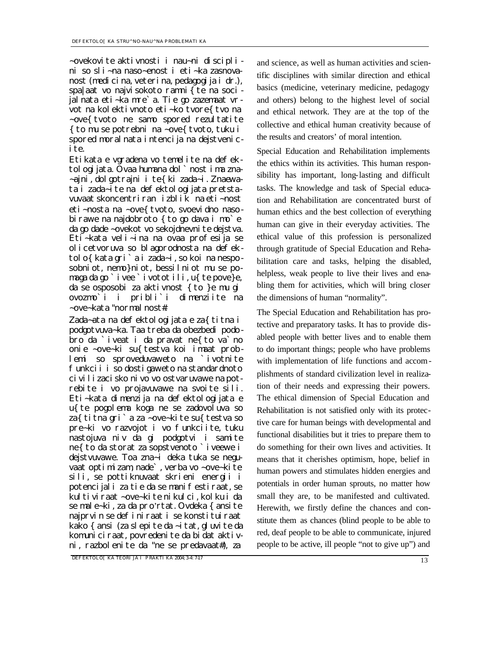~ovekovite aktivnosti i nau~ni disciplini so sli~na naso~enost i eti~ka zasnovanost (medicina, veterina, pedagogija i dr.), spa|aat vo najvisokoto ramni{te na socijalnata eti~ka mre`a. Tie go zazemaat vrvot na kolektivnoto eti~ko tvore{tvo na ~ove{ tvoto ne samo spored rezultatite  $\{$  to mu se potrebni na ~ove $\{$  tvoto, tuku i spored moral nata intencija na dejstvenicite.

Etikata e vgradena vo temelite na defektologijata. Ovaa humana dol`nost ima zna- ~ajni, dolgotrajni i te{ki zada~i. Znaewata i zada~ite na defektologijata pretstavuvaat skoncentriran izblik na eti~nost eti~nosta na ~ove{ tvoto, svoevidno nasobirawe na najdobroto { to go dava i mo`e da go dade ~ovekot vo sekojdnevnite dejstva. Eti~kata veli~ina na ovaa profesija se olicetvoruva so blagorodnosta na defektolo{kata gri`a i zada~i, so koi na nesposobniot, nemo}niot, bessilniot mu se pomaga da go `ivee `ivotot ili, u{ te pove}e, da se osposobi za aktivnost  $\{$  to  $\}$ e mu gi ovozmo`i i pribli`i dimenziite na ~ove~kata "normalnost#.

Zada~ata na defektologijata e za{titna i podgotvuva~ka. Taa treba da obezbedi podobro da `iveat i da pravat ne{to va`no onie ~ove~ki su{testva koi imaat problemi so sproveduvaweto na `ivotnite funkcii i so dostigaweto na standardnoto civilizacisko nivo vo ostvaruvawe na potrebite i vo projavuvawe na svoite sili. Eti~kata dimenzija na defektologijata e u{te pogolema koga ne se zadovoluva so za{titna gri`a za ~ove~kite su{testva so pre~ki vo razvojot i vo funkciite, tuku nastojuva niv da gi podgotvi i samite ne{to da storat za sopstvenoto `iveewe i dejstvuvawe. Toa zna~i deka tuka se neguvaat optimizam, nade`, verba vo ~ove~kite sili, se pottiknuvaat skrieni energii i potencijali za tie da se manifestiraat, se kultiviraat ~ove~kite nikulci, kolku i da se male~ki, za da pro'rtat. Ovdeka { ansite najprvin se definiraat i se konstituiraat kako { ansi (za slepite da ~itat, gluvite da komuniciraat, povredenite da bidat aktivni, razbolenite da "ne se predavaat#), za

*DEFEKTOLO[KA TEORIJA I PRAKTIKA 2004; 3-4: 7-17*

and science, as well as human activities and scientific disciplines with similar direction and ethical basics (medicine, veterinary medicine, pedagogy and others) belong to the highest level of social and ethical network. They are at the top of the collective and ethical human creativity because of the results and creators' of moral intention.

Special Education and Rehabilitation implements the ethics within its activities. This human responsibility has important, long-lasting and difficult tasks. The knowledge and task of Special education and Rehabilitation are concentrated burst of human ethics and the best collection of everything human can give in their everyday activities. The ethical value of this profession is personalized through gratitude of Special Education and Rehabilitation care and tasks, helping the disabled, helpless, weak people to live their lives and enabling them for activities, which will bring closer the dimensions of human "normality".

The Special Education and Rehabilitation has protective and preparatory tasks. It has to provide disabled people with better lives and to enable them to do important things; people who have problems with implementation of life functions and accomplishments of standard civilization level in realization of their needs and expressing their powers. The ethical dimension of Special Education and Rehabilitation is not satisfied only with its protective care for human beings with developmental and functional disabilities but it tries to prepare them to do something for their own lives and activities. It means that it cherishes optimism, hope, belief in human powers and stimulates hidden energies and potentials in order human sprouts, no matter how small they are, to be manifested and cultivated. Herewith, we firstly define the chances and constitute them as chances (blind people to be able to red, deaf people to be able to communicate, injured people to be active, ill people "not to give up") and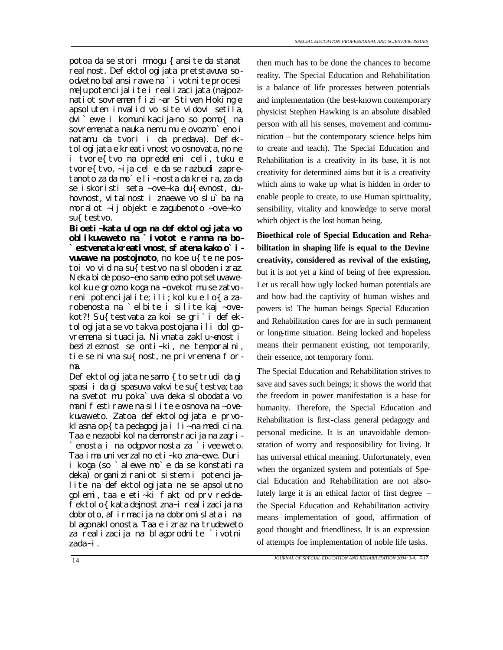potoa da se stori mnogu {ansite da stanat real nost. Defektol ogi jata pretstavuva soodvetno bal ansi rawe na ` i votni te procesi me|u potencijalite i realizacijata (najpoznatiot sovremen fizi~ar Stiven Hoking e apsoluten invalid vo site vidovi setila, dvi`ewe i komunikacija-no so pomo{ na sovremenata nauka nemu mu e ovozmo`eno i natamu da tvori i da predava). Defektologijata e kreativnost vo osnovata, no ne i tvore{tvo na opredeleni celi, tuku e tvore{tvo, ~ija cel e da se razbudi zapretanoto za da mo`e li~nosta da kreira, za da se iskoristi seta ~ove~ka du{evnost, duhovnost, vitalnost i znaewe vo slu`ba na moralot ~ij objekt e zagubenoto ~ove~ko su{ testvo.

**Bioeti~kata uloga na defektologijata vo oblikuvaweto na `ivotot e ramna na bo- `estvenata kreativnost**, **sfatena kako o`ivuvawe na postojnoto**, no koe u{ te ne postoi vo vid na su{ testvo na sloboden izraz. Neka bide poso~eno samo edno potsetuvawekol ku e grozno koga na ~ovekot mu se zatvoreni potencijalite; ili; kolku e lo{a zarobenosta na `elbite i silite kaj ~ovekot?! Su{ testvata za koi se gri`i defektologijata se vo takva postojana ili dolgovremena situacija. Nivnata zaklu~enost i bezizleznost se onti~ki, ne temporalni, tie se nivna su{nost, ne privremena forma.

Defektologijata ne samo { to se trudi da gi spasi i da gi spasuva vakvite su{testva; taa na svetot mu poka`uva deka slobodata vo manifestirawe na silite e osnova na ~ovekuvaweto. Zatoa defektologijata e prvoklasna op $\{ta$  pedagogija i li~na medicina. Taa e nezaobi kol na demonstracija na zagri-`enosta i na odgovornosta za `iveeweto. Taa ima univerzalno eti~ko zna~ewe. Duri i koga (so `alewe mo`e da se konstatira deka) organiziraniot sistem i potencijalite na defektologijata ne se apsolutno golemi, taa e eti~ki fakt od prv red-defektolo{kata dejnost zna~i realizacija na dobroto, afirmacija na dobromislata i na blagonaklonosta. Taa e izraz na trudeweto za realizacija na blagorodnite `ivotni zada~i.

then much has to be done the chances to become reality. The Special Education and Rehabilitation is a balance of life processes between potentials and implementation (the best-known contemporary physicist Stephen Hawking is an absolute disabled person with all his senses, movement and communication – but the contemporary science helps him to create and teach). The Special Education and Rehabilitation is a creativity in its base, it is not creativity for determined aims but it is a creativity which aims to wake up what is hidden in order to enable people to create, to use Human spirituality, sensibility, vitality and knowledge to serve moral which object is the lost human being.

**Bioethical role of Special Education and Rehabilitation in shaping life is equal to the Devine creativity, considered as revival of the existing,** but it is not yet a kind of being of free expression. Let us recall how ugly locked human potentials are and how bad the captivity of human wishes and powers is! The human beings Special Education and Rehabilitation cares for are in such permanent or long-time situation. Being locked and hopeless means their permanent existing, not temporarily, their essence, not temporary form.

The Special Education and Rehabilitation strives to save and saves such beings; it shows the world that the freedom in power manifestation is a base for humanity. Therefore, the Special Education and Rehabilitation is first-class general pedagogy and personal medicine. It is an unavoidable demonstration of worry and responsibility for living. It has universal ethical meaning. Unfortunately, even when the organized system and potentials of Special Education and Rehabilitation are not absolutely large it is an ethical factor of first degree – the Special Education and Rehabilitation activity means implementation of good, affirmation of good thought and friendliness. It is an expression of attempts foe implementation of noble life tasks.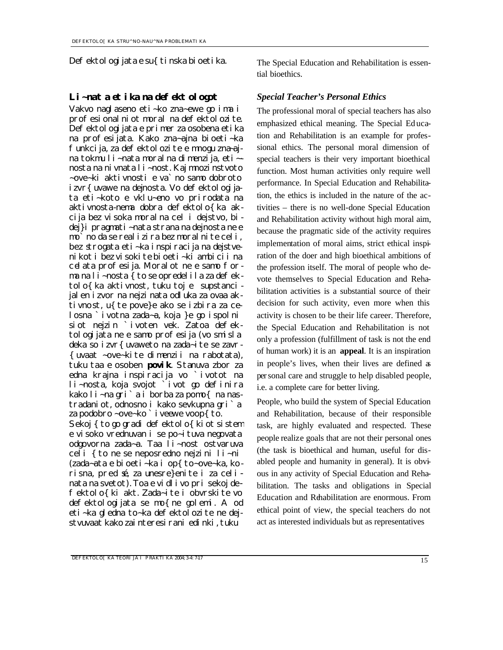Defektologijata e su{tinska bioetika. The Special Education and Rehabilitation is essen-

# *Li~nata etika na defektologot Special Teacher's Personal Ethics*

Vakvo naglaseno eti~ko zna~ewe go ima i profesionalniot moral na defektolozite. Defektologijata e primer za osobena etika na profesijata. Kako zna~ajna bioeti~ka funkcija, za defektolozite e mnogu zna~ajna tokmu li~nata moralna dimenzija, eti~ nosta na nivnata li~nost. Kaj mnozinstvoto ~ove~ki aktivnosti e va`no samo dobroto izvr{ uvawe na dejnosta. Vo defektologijata eti~koto e vklu~eno vo prirodata na aktivnosta-nema dobra defektolo{ka akcija bez visoka moralna cel i dejstvo, bidej}i pragmati~nata strana na dejnosta ne e mo`no da se realizira bez moralnite celi, bez strogata eti~ka inspiracija na dejstvenikot i bez visokite bioeti~ki ambicii na celata profesija. Moral ot ne e samo forma na li~nosta { to se opredelila za defektolo{ka aktivnost, tuku toj e supstancijalen izvor na nejzinata odluka za ovaa aktivnost, u{te pove}e ako se izbira za celosna `ivotna zada~a, koja }e go ispolni siot nejzin `ivoten vek. Zatoa defektologijata ne e samo profesija (vo smisla deka so izvr{uvaweto na zada~ite se zavr- {uvaat ~ove~kite dimenzii na rabotata), tuku taa e osoben **povik**. Stanuva zbor za edna krajna inspiracija vo `ivotot na li~nosta, koja svojot `ivot go definira kako li~na gri`a i borba za pomo{ na nastradaniot, odnosno i kako sevkupna gri`a za podobro ~ove~ko ` i veewe voop{ to. Sekoj { to go gradi defektolo{ kiot sistem e visoko vrednuvan i se po~ituva negovata odgovorna zada~a. Taa li~nost ostvaruva celi {to ne se neposredno nejzini li~ni (zada~ata e bioeti~ka i op{to~ove~ka, korisna, pred sé, za unesre}enite i za celinata na svetot). Toa e vidlivo pri sekoj defektolo{ki akt. Zada~ite i obvrskite vo

defektologijata se mo{ne golemi. A od eti~ka gledna to~ka defektolozite ne dejstvuvaat kako zainteresirani edinki, tuku

tial bioethics.

The professional moral of special teachers has also emphasized ethical meaning. The Special Ed ucation and Rehabilitation is an example for professional ethics. The personal moral dimension of special teachers is their very important bioethical function. Most human activities only require well performance. In Special Education and Rehabilitation, the ethics is included in the nature of the activities – there is no well-done Special Education and Rehabilitation activity without high moral aim, because the pragmatic side of the activity requires implementation of moral aims, strict ethical inspiration of the doer and high bioethical ambitions of the profession itself. The moral of people who devote themselves to Special Education and Rehabilitation activities is a substantial source of their decision for such activity, even more when this activity is chosen to be their life career. Therefore, the Special Education and Rehabilitation is not only a profession (fulfillment of task is not the end of human work) it is an **appeal**. It is an inspiration in people's lives, when their lives are defined as personal care and struggle to help disabled people, i.e. a complete care for better living.

People, who build the system of Special Education and Rehabilitation, because of their responsible task, are highly evaluated and respected. These people realize goals that are not their personal ones (the task is bioethical and human, useful for disabled people and humanity in general). It is obvious in any activity of Special Education and Rehabilitation. The tasks and obligations in Special Education and Rehabilitation are enormous. From ethical point of view, the special teachers do not act as interested individuals but as representatives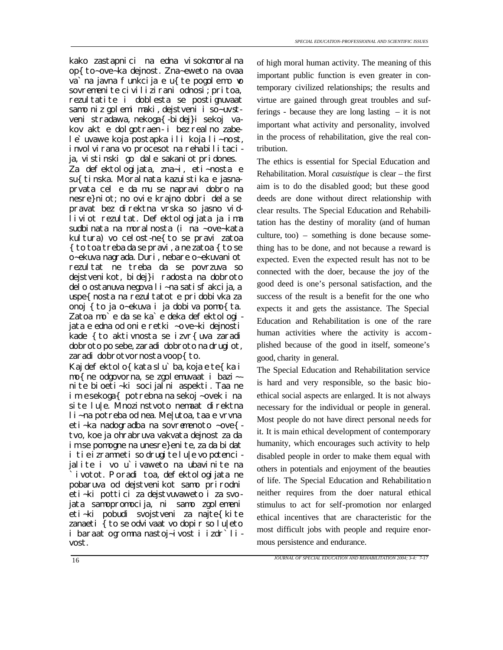kako zastapnici na edna visokomoralna op{to~ove~ka dejnost. Zna~eweto na ovaa va`na javna funkcija e u{ te pogolemo vo sovremenite civilizirani odnosi; pritoa, rezultatite i doblesta se postignuvaat samo niz golemi maki, dejstveni i so~uvstveni stradawa, nekoga{-bidej}i sekoj vakov akt e dolgotraen - i bez realno zabele`uvawe koja postapka ili koja li~nost, i nvolvirana vo procesot na rehabilitacija, vistinski go dale sakaniot pridones.

Za defektologijata, zna~i, eti~nosta e su{ tinska. Moralnata kazuistika e jasnaprvata cel e da mu se napravi dobro na nesre}niot; no ovie krajno dobri dela se pravat bez direktna vrska so jasno vidliviot rezultat. Defektologijata ja ima sudbinata na moralnosta (i na ~ove~kata kultura) vo celost-ne{to se pravi zatoa { to toa treba da se pravi, a ne zatoa { to se o~ekuva nagrada. Duri, nebare o~ekuvaniot rezultat ne treba da se povrzuva so dejstvenikot, bidej}i radosta na dobroto delo ostanuva negova li~na satisfakcija, a uspe{ nosta na rezul tatot e pridobivka za onoj {to ja o~ekuva i ja dobiva pomo{ta. Zatoa mo<sup>'</sup>e da se ka'e deka defektologi jata e edna od onie retki ~ove~ki dejnosti kade { to aktivnosta se izvr{ uva zaradi dobroto po sebe, zaradi dobroto na drugiot, zaradi dobrotvornosta voop{to.

Kaj defektolo{ kata slu`ba, koja e te{ka i mo{ne odgovorna, se zgolemuvaat i bazi~ nite bioeti~ki socijalni aspekti. Taa ne im e sekoga{ potrebna na sekoj ~ovek i na site lu|e. Mnozinstvoto nemaat direktna li~na potreba od nea. Me|utoa, taa e vrvna eti~ka nadogradba na sovremenoto ~ove{ tvo, koe ja ohrabruva vakvata dejnost za da im se pomogne na unesre}enite, za da bidat i tie izramneti so drugite lu|e vo potencijalite i vo u`ivaweto na ubavinite na ivotot. Poradi toa, defektologijata ne pobaruva od dejstvenikot samo prirodni eti~ki pottici za dejstvuvaweto i za svojata samopromocija, ni samo zgolemeni eti~ki pobudi svojstveni za najte{kite zanaeti  $\overline{\xi}$  to se odvivaat vo dopir so lu|eto i baraat ogromna nastoj~ivost i izdr`livost.

of high moral human activity. The meaning of this important public function is even greater in contemporary civilized relationships; the results and virtue are gained through great troubles and sufferings - because they are long lasting – it is not important what activity and personality, involved in the process of rehabilitation, give the real contribution.

The ethics is essential for Special Education and Rehabilitation. Moral *casuistique* is clear – the first aim is to do the disabled good; but these good deeds are done without direct relationship with clear results. The Special Education and Rehabilitation has the destiny of morality (and of human culture, too) – something is done because something has to be done, and not because a reward is expected. Even the expected result has not to be connected with the doer, because the joy of the good deed is one's personal satisfaction, and the success of the result is a benefit for the one who expects it and gets the assistance. The Special Education and Rehabilitation is one of the rare human activities where the activity is accomplished because of the good in itself, someone's good, charity in general.

The Special Education and Rehabilitation service is hard and very responsible, so the basic bioethical social aspects are enlarged. It is not always necessary for the individual or people in general. Most people do not have direct personal ne eds for it. It is main ethical development of contemporary humanity, which encourages such activity to help disabled people in order to make them equal with others in potentials and enjoyment of the beauties of life. The Special Education and Rehabilitatio n neither requires from the doer natural ethical stimulus to act for self-promotion nor enlarged ethical incentives that are characteristic for the most difficult jobs with people and require enormous persistence and endurance.